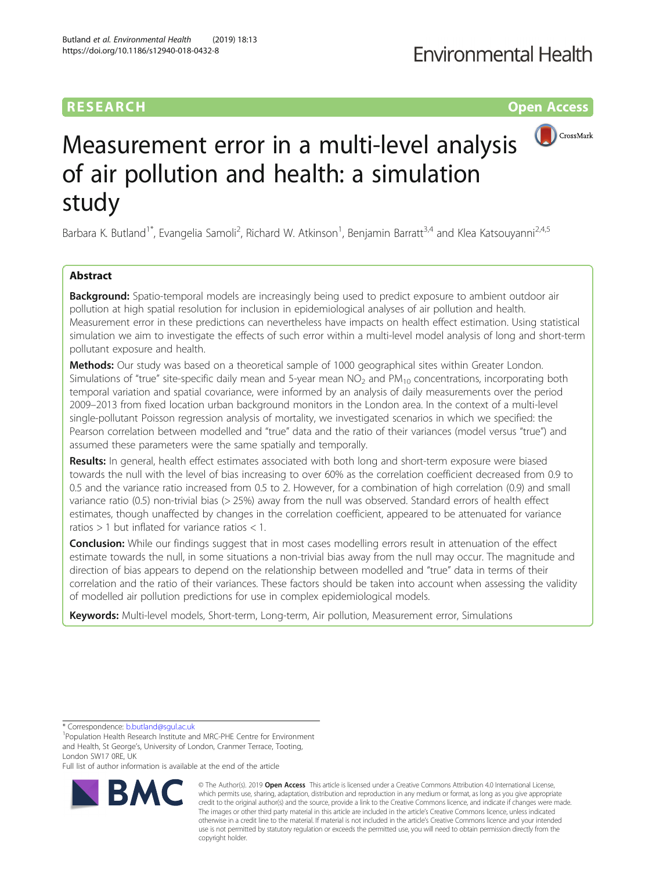# **RESEARCH CHEAR CHEAR CHEAR CHEAR CHEAR CHEAR CHEAR CHEAR CHEAR CHEAP CHEAP CHEAP CHEAP CHEAP CHEAP CHEAP CHEAP**



# Measurement error in a multi-level analysis of air pollution and health: a simulation study

Barbara K. Butland<sup>1\*</sup>, Evangelia Samoli<sup>2</sup>, Richard W. Atkinson<sup>1</sup>, Benjamin Barratt<sup>3,4</sup> and Klea Katsouyanni<sup>2,4,5</sup>

# Abstract

**Background:** Spatio-temporal models are increasingly being used to predict exposure to ambient outdoor air pollution at high spatial resolution for inclusion in epidemiological analyses of air pollution and health. Measurement error in these predictions can nevertheless have impacts on health effect estimation. Using statistical simulation we aim to investigate the effects of such error within a multi-level model analysis of long and short-term pollutant exposure and health.

Methods: Our study was based on a theoretical sample of 1000 geographical sites within Greater London. Simulations of "true" site-specific daily mean and 5-year mean  $NO<sub>2</sub>$  and  $PM<sub>10</sub>$  concentrations, incorporating both temporal variation and spatial covariance, were informed by an analysis of daily measurements over the period 2009–2013 from fixed location urban background monitors in the London area. In the context of a multi-level single-pollutant Poisson regression analysis of mortality, we investigated scenarios in which we specified: the Pearson correlation between modelled and "true" data and the ratio of their variances (model versus "true") and assumed these parameters were the same spatially and temporally.

Results: In general, health effect estimates associated with both long and short-term exposure were biased towards the null with the level of bias increasing to over 60% as the correlation coefficient decreased from 0.9 to 0.5 and the variance ratio increased from 0.5 to 2. However, for a combination of high correlation (0.9) and small variance ratio (0.5) non-trivial bias (> 25%) away from the null was observed. Standard errors of health effect estimates, though unaffected by changes in the correlation coefficient, appeared to be attenuated for variance ratios > 1 but inflated for variance ratios < 1.

**Conclusion:** While our findings suggest that in most cases modelling errors result in attenuation of the effect estimate towards the null, in some situations a non-trivial bias away from the null may occur. The magnitude and direction of bias appears to depend on the relationship between modelled and "true" data in terms of their correlation and the ratio of their variances. These factors should be taken into account when assessing the validity of modelled air pollution predictions for use in complex epidemiological models.

Keywords: Multi-level models, Short-term, Long-term, Air pollution, Measurement error, Simulations

\* Correspondence: [b.butland@sgul.ac.uk](mailto:b.butland@sgul.ac.uk) <sup>1</sup>

Full list of author information is available at the end of the article



© The Author(s), 2019 **Open Access** This article is licensed under a Creative Commons Attribution 4.0 International License, which permits use, sharing, adaptation, distribution and reproduction in any medium or format, as long as you give appropriate credit to the original author(s) and the source, provide a link to the Creative Commons licence, and indicate if changes were made. The images or other third party material in this article are included in the article's Creative Commons licence, unless indicated otherwise in a credit line to the material. If material is not included in the article's Creative Commons licence and your intended use is not permitted by statutory regulation or exceeds the permitted use, you will need to obtain permission directly from the copyright holder.

<sup>&</sup>lt;sup>1</sup>Population Health Research Institute and MRC-PHE Centre for Environment and Health, St George's, University of London, Cranmer Terrace, Tooting, London SW17 0RE, UK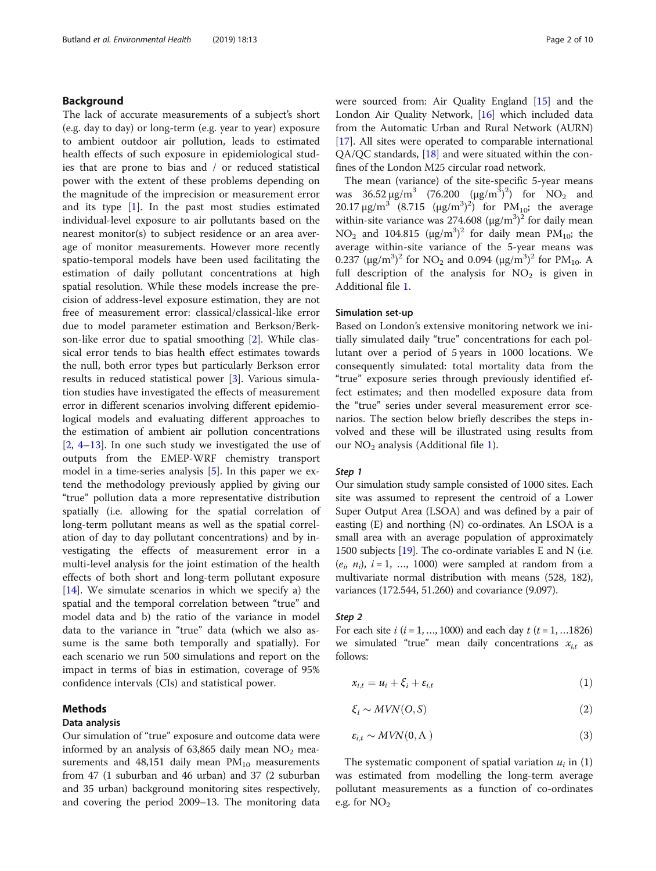# Background

The lack of accurate measurements of a subject's short (e.g. day to day) or long-term (e.g. year to year) exposure to ambient outdoor air pollution, leads to estimated health effects of such exposure in epidemiological studies that are prone to bias and / or reduced statistical power with the extent of these problems depending on the magnitude of the imprecision or measurement error and its type  $[1]$  $[1]$ . In the past most studies estimated individual-level exposure to air pollutants based on the nearest monitor(s) to subject residence or an area average of monitor measurements. However more recently spatio-temporal models have been used facilitating the estimation of daily pollutant concentrations at high spatial resolution. While these models increase the precision of address-level exposure estimation, they are not free of measurement error: classical/classical-like error due to model parameter estimation and Berkson/Berkson-like error due to spatial smoothing [[2\]](#page-8-0). While classical error tends to bias health effect estimates towards the null, both error types but particularly Berkson error results in reduced statistical power [[3\]](#page-8-0). Various simulation studies have investigated the effects of measurement error in different scenarios involving different epidemiological models and evaluating different approaches to the estimation of ambient air pollution concentrations  $[2, 4-13]$  $[2, 4-13]$  $[2, 4-13]$  $[2, 4-13]$  $[2, 4-13]$  $[2, 4-13]$ . In one such study we investigated the use of outputs from the EMEP-WRF chemistry transport model in a time-series analysis [[5\]](#page-8-0). In this paper we extend the methodology previously applied by giving our "true" pollution data a more representative distribution spatially (i.e. allowing for the spatial correlation of long-term pollutant means as well as the spatial correlation of day to day pollutant concentrations) and by investigating the effects of measurement error in a multi-level analysis for the joint estimation of the health effects of both short and long-term pollutant exposure  $[14]$  $[14]$ . We simulate scenarios in which we specify a) the spatial and the temporal correlation between "true" and model data and b) the ratio of the variance in model data to the variance in "true" data (which we also assume is the same both temporally and spatially). For each scenario we run 500 simulations and report on the impact in terms of bias in estimation, coverage of 95% confidence intervals (CIs) and statistical power.

# Methods

# Data analysis

Our simulation of "true" exposure and outcome data were informed by an analysis of 63,865 daily mean  $NO<sub>2</sub>$  measurements and  $48,151$  daily mean  $PM_{10}$  measurements from 47 (1 suburban and 46 urban) and 37 (2 suburban and 35 urban) background monitoring sites respectively, and covering the period 2009–13. The monitoring data were sourced from: Air Quality England [\[15](#page-8-0)] and the London Air Quality Network, [\[16\]](#page-8-0) which included data from the Automatic Urban and Rural Network (AURN) [[17](#page-8-0)]. All sites were operated to comparable international QA/QC standards, [\[18](#page-8-0)] and were situated within the confines of the London M25 circular road network.

The mean (variance) of the site-specific 5-year means was  $36.52 \,\mu g/m^3$  (76.200  $(\mu g/m^3)^2$ ) for NO<sub>2</sub> and 20.17  $\mu$ g/m<sup>3</sup> (8.715 ( $\mu$ g/m<sup>3</sup>)<sup>2</sup>) for PM<sub>10</sub>; the average within-site variance was  $274.608 \ (\mu\text{g/m}^3)^2$  for daily mean NO<sub>2</sub> and 104.815  $(\mu g/m^3)^2$  for daily mean PM<sub>10</sub>; the average within-site variance of the 5-year means was 0.237 (μg/m<sup>3</sup>)<sup>2</sup> for NO<sub>2</sub> and 0.094 (μg/m<sup>3</sup>)<sup>2</sup> for PM<sub>10</sub>. A full description of the analysis for  $NO<sub>2</sub>$  is given in Additional file [1](#page-8-0).

# Simulation set-up

Based on London's extensive monitoring network we initially simulated daily "true" concentrations for each pollutant over a period of 5 years in 1000 locations. We consequently simulated: total mortality data from the "true" exposure series through previously identified effect estimates; and then modelled exposure data from the "true" series under several measurement error scenarios. The section below briefly describes the steps involved and these will be illustrated using results from our  $NO<sub>2</sub>$  analysis (Additional file [1](#page-8-0)).

# Step 1

Our simulation study sample consisted of 1000 sites. Each site was assumed to represent the centroid of a Lower Super Output Area (LSOA) and was defined by a pair of easting (E) and northing (N) co-ordinates. An LSOA is a small area with an average population of approximately 1500 subjects [[19](#page-8-0)]. The co-ordinate variables E and N (i.e.  $(e_i, n_i)$ ,  $i = 1, ..., 1000$ ) were sampled at random from a multivariate normal distribution with means (528, 182), variances (172.544, 51.260) and covariance (9.097).

# Step 2

For each site  $i$  ( $i = 1, ..., 1000$ ) and each day  $t$  ( $t = 1, ... 1826$ ) we simulated "true" mean daily concentrations  $x_{i,t}$  as follows:

$$
x_{i,t} = u_i + \xi_i + \varepsilon_{i,t} \tag{1}
$$

$$
\xi_i \sim MVN(O, S) \tag{2}
$$

$$
\varepsilon_{i,t} \sim MVN(0,\Lambda) \tag{3}
$$

The systematic component of spatial variation  $u_i$  in (1) was estimated from modelling the long-term average pollutant measurements as a function of co-ordinates e.g. for  $NO<sub>2</sub>$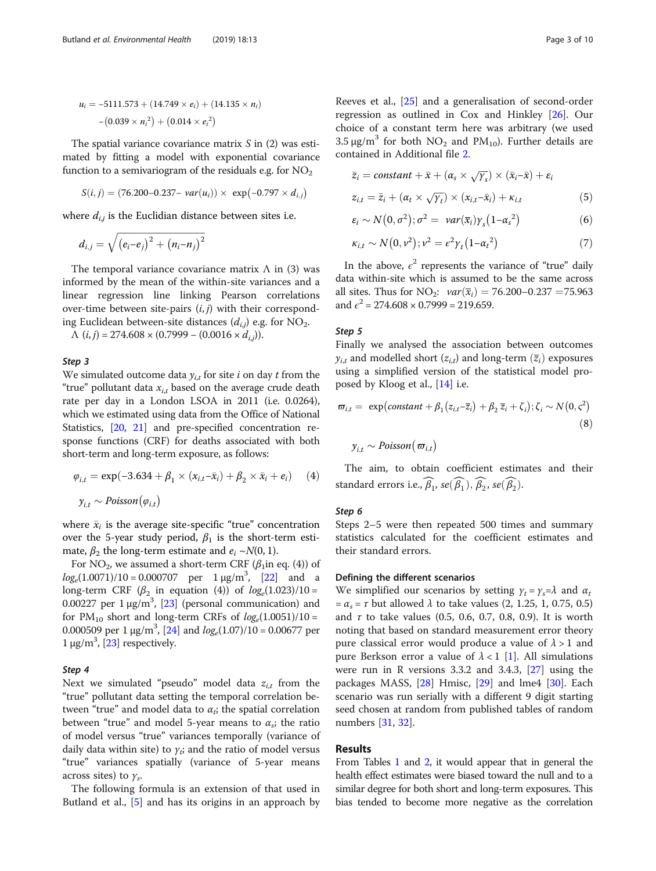$$
u_i = -5111.573 + (14.749 \times e_i) + (14.135 \times n_i)
$$

$$
-(0.039 \times n_i^2) + (0.014 \times e_i^2)
$$

The spatial variance covariance matrix  $S$  in  $(2)$  was estimated by fitting a model with exponential covariance function to a semivariogram of the residuals e.g. for  $NO<sub>2</sub>$ 

$$
S(i, j) = (76.200 - 0.237 - \text{var}(u_i)) \times \exp(-0.797 \times d_{i,j})
$$

where  $d_{i,j}$  is the Euclidian distance between sites i.e.

$$
d_{i,j} = \sqrt{(e_i-e_j)^2 + (n_i-n_j)^2}
$$

The temporal variance covariance matrix  $\Lambda$  in (3) was informed by the mean of the within-site variances and a linear regression line linking Pearson correlations over-time between site-pairs  $(i, j)$  with their corresponding Euclidean between-site distances  $(d_{i,j})$  e.g. for NO<sub>2</sub>.

 $\Lambda$  (*i*, *j*) = 274.608 × (0.7999 – (0.0016 ×  $d_{i,j}$ )).

# Step 3

We simulated outcome data  $y_{i,t}$  for site i on day t from the "true" pollutant data  $x_{i,t}$  based on the average crude death rate per day in a London LSOA in 2011 (i.e. 0.0264), which we estimated using data from the Office of National Statistics, [\[20,](#page-8-0) [21\]](#page-9-0) and pre-specified concentration response functions (CRF) for deaths associated with both short-term and long-term exposure, as follows:

$$
\varphi_{i,t} = \exp(-3.634 + \beta_1 \times (x_{i,t} - \bar{x}_i) + \beta_2 \times \bar{x}_i + e_i)
$$
 (4)

 $y_{i,t} \sim Poisson(\varphi_{i,t})$ 

where  $\bar{x}_i$  is the average site-specific "true" concentration over the 5-year study period,  $\beta_1$  is the short-term estimate,  $\beta_2$  the long-term estimate and  $e_i \sim N(0, 1)$ .

For NO<sub>2</sub>, we assumed a short-term CRF ( $\beta_1$ in eq. (4)) of  $log_e(1.0071)/10 = 0.000707$  per  $1 \mu g/m^3$ , [[22](#page-9-0)] and a long-term CRF ( $\beta_2$  in equation (4)) of  $log_e(1.023)/10 =$  $0.00227$  per  $1 \mu g/m^3$ ,  $[23]$  $[23]$  $[23]$  (personal communication) and for  $PM_{10}$  short and long-term CRFs of  $log_e(1.0051)/10 =$ 0.000509 per 1  $\mu$ g/m<sup>3</sup>, [\[24\]](#page-9-0) and  $log_e(1.07)/10 = 0.00677$  per 1 μg/m<sup>3</sup>, [\[23\]](#page-9-0) respectively.

# Step 4

Next we simulated "pseudo" model data  $z_{i,t}$  from the "true" pollutant data setting the temporal correlation between "true" and model data to  $\alpha_i$ ; the spatial correlation between "true" and model 5-year means to  $\alpha_s$ ; the ratio of model versus "true" variances temporally (variance of daily data within site) to  $\gamma_t$ ; and the ratio of model versus "true" variances spatially (variance of 5-year means across sites) to  $\gamma_s$ .

The following formula is an extension of that used in Butland et al., [[5\]](#page-8-0) and has its origins in an approach by Reeves et al., [[25\]](#page-9-0) and a generalisation of second-order regression as outlined in Cox and Hinkley [\[26](#page-9-0)]. Our choice of a constant term here was arbitrary (we used 3.5  $\mu$ g/m<sup>3</sup> for both NO<sub>2</sub> and PM<sub>10</sub>). Further details are contained in Additional file [2.](#page-8-0)

$$
\bar{z}_i = constant + \bar{x} + (\alpha_s \times \sqrt{y_s}) \times (\bar{x}_i - \bar{x}) + \varepsilon_i
$$
  

$$
z_{i,t} = \bar{z}_i + (\alpha_t \times \sqrt{y_t}) \times (x_{i,t} - \bar{x}_i) + \kappa_{i,t}
$$
 (5)

$$
\varepsilon_i \sim N\big(0, \sigma^2\big); \sigma^2 = \text{var}(\overline{x}_i) \gamma_s \big(1 - \alpha_s^2\big) \tag{6}
$$

$$
\kappa_{i,t} \sim N\big(0, v^2\big); v^2 = \epsilon^2 \gamma_t \big(1 - \alpha_t^2\big) \tag{7}
$$

In the above,  $\epsilon^2$  represents the variance of "true" daily data within-site which is assumed to be the same across all sites. Thus for NO<sub>2</sub>:  $var(\bar{x}_i) = 76.200 - 0.237 = 75.963$ and  $\epsilon^2$  = 274.608 × 0.7999 = 219.659.

# Step 5

Finally we analysed the association between outcomes  $y_{i,t}$  and modelled short  $(z_{i,t})$  and long-term  $(\overline{z}_i)$  exposures using a simplified version of the statistical model proposed by Kloog et al., [[14](#page-8-0)] i.e.

$$
\varpi_{i,t} = \exp\left(\text{constant} + \beta_1(z_{i,t} - \overline{z}_i) + \beta_2 \,\overline{z}_i + \zeta_i\right); \zeta_i \sim N(0, \varsigma^2) \tag{8}
$$

$$
y_{i,t} \sim Poisson(\varpi_{i,t})
$$

The aim, to obtain coefficient estimates and their standard errors i.e.,  $\widehat{\beta_1}$ , se $(\widehat{\beta_1}$ ),  $\widehat{\beta_2}$ , se $(\widehat{\beta_2})$ .

# Step 6

Steps 2–5 were then repeated 500 times and summary statistics calculated for the coefficient estimates and their standard errors.

# Defining the different scenarios

We simplified our scenarios by setting  $\gamma_t = \gamma_s = \lambda$  and  $\alpha_t$  $=\alpha_s = \tau$  but allowed  $\lambda$  to take values (2, 1.25, 1, 0.75, 0.5) and  $\tau$  to take values (0.5, 0.6, 0.7, 0.8, 0.9). It is worth noting that based on standard measurement error theory pure classical error would produce a value of  $\lambda > 1$  and pure Berkson error a value of  $\lambda < 1$  [\[1](#page-8-0)]. All simulations were run in R versions 3.3.2 and 3.4.3, [[27](#page-9-0)] using the packages MASS, [\[28](#page-9-0)] Hmisc, [\[29\]](#page-9-0) and lme4 [\[30](#page-9-0)]. Each scenario was run serially with a different 9 digit starting seed chosen at random from published tables of random numbers [[31,](#page-9-0) [32](#page-9-0)].

# Results

From Tables [1](#page-3-0) and [2](#page-4-0), it would appear that in general the health effect estimates were biased toward the null and to a similar degree for both short and long-term exposures. This bias tended to become more negative as the correlation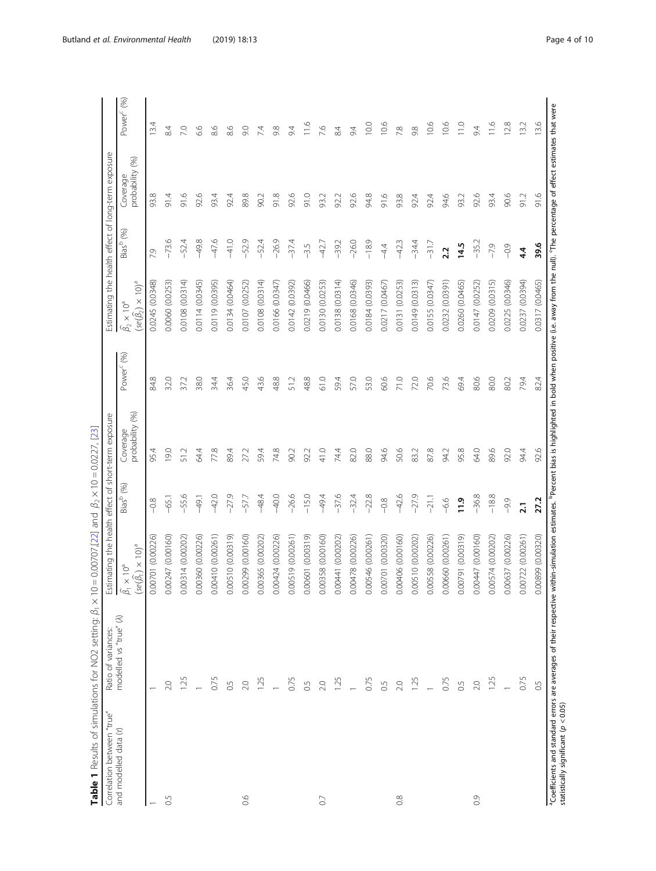| $rac{1}{2}$<br>ļ<br>i |
|-----------------------|
| $\mathsf{I}$<br>Į.    |
|                       |
| ١                     |
| I<br>l                |
|                       |
|                       |
| ١<br>I                |
|                       |
| $\frac{1}{2}$         |
|                       |
| i<br>1                |
| ١<br>I                |
|                       |
| $\vdots$<br>í         |

<span id="page-3-0"></span>

| Correlation between "true" | Ratio of variances:     |                                                                                                                                                                                   |                 |                 |                        |                                                                                              |                       | Estimating the health effect of long-term exposure |                        |
|----------------------------|-------------------------|-----------------------------------------------------------------------------------------------------------------------------------------------------------------------------------|-----------------|-----------------|------------------------|----------------------------------------------------------------------------------------------|-----------------------|----------------------------------------------------|------------------------|
| and modelled data (t)      | ŝ<br>modelled vs "true" | Estimating the health effect of short-term exposure<br>$\widehat{\beta}_1 \times 10^a$ Bias <sup>b</sup> (%) Coverage<br>$(\mathrm{se}(\widehat{\beta_1})\times 10)^{\mathrm{a}}$ |                 | probability (%) | Power <sup>c</sup> (%) | $\times$ 10) $^{\rm a}$<br>$\widehat{\beta}_2 \times 10^{\text{a}}$<br>$(se(\hat{\beta_2}))$ | Bias <sup>b</sup> (%) | (%)<br>probability<br>Coverage                     | Power <sup>c</sup> (%) |
|                            |                         | 0.00701 (0.00226)                                                                                                                                                                 | $-0.8$          | 95.4            | œ<br>$\overline{a}$    | 0.0245 (0.0348)                                                                              | 7.9                   | 93.8                                               | 13.4                   |
| 0.5                        | 2.0                     | 00247 (0.00160)<br>Õ                                                                                                                                                              | $-65.1$         | $^{56}$         | 32.0                   | 0.0060 (0.0253)                                                                              | ⊙<br>$-73.$           | 91.4                                               | $\overline{84}$        |
|                            | 1.25                    | 0.00314 (0.00202)                                                                                                                                                                 | $-55.6$         | 51.2            | 37.2                   | (0.0314)<br>0.0108                                                                           | $-52.4$               | 91.6                                               | 7.0                    |
|                            |                         | 00360 (0.00226)<br>Õ                                                                                                                                                              | $-49.1$         | 64.4            | 38.0                   | 0.0114 (0.0345)                                                                              | $-49.8$               | 92.6                                               | 6.6                    |
|                            | 0.75                    | 00410 (0.00261)<br>Õ                                                                                                                                                              | $-42.0$         | 77.8            | 34.4                   | 0.0119 (0.0395)                                                                              | $-47.6$               | 93.4                                               | ب<br>∞                 |
|                            | 0.5                     | 0.00510 (0.00319)                                                                                                                                                                 | $-27.9$         | 89.4            | 36.4                   | 0.0134 (0.0464)                                                                              | $-41.0$               | 92.4                                               | $\circ$<br>∞           |
| 66                         | 2.0                     | 00299 (0.00160)<br>Õ                                                                                                                                                              | -57.7           | 27.2            | 45.0                   | (0.0252)<br>0.0107                                                                           | $-52.9$               | 89.8                                               | 60                     |
|                            | 1.25                    | 00365 (0.00202)<br>Õ                                                                                                                                                              | $-48.4$         | 59.4            | 43.6                   | 0.0108 (0.0314)                                                                              | $-52.4$               | 90.2                                               | 7.4                    |
|                            |                         | 0.00424 (0.00226)                                                                                                                                                                 | $-40.0$         | 74.8            | 48.8                   | 0.0166 (0.0347)                                                                              | $-26.9$               | 91.8                                               | 9.8                    |
|                            | 0.75                    | 00519 (0.00261)<br>Õ                                                                                                                                                              | $-26.6$         | 90.2            | 51.2                   | 0.0142 (0.0392)                                                                              | $-37.4$               | 92.6                                               | 64                     |
|                            | 0.5                     | 0.00601 (0.00319)                                                                                                                                                                 | $-15.0$         | 92.2            | 48.8                   | 0.0219 (0.0466)                                                                              | $-3.5$                | 91.0                                               | 11.6                   |
| $\rm C$                    | 2.0                     | 00358 (0.00160)<br>Õ                                                                                                                                                              | $-49.4$         | 41.0            | 61.0                   | 0.0130 (0.0253)                                                                              | $-42.7$               | 93.2                                               | 7.6                    |
|                            | 1.25                    | 0.00441 (0.00202)                                                                                                                                                                 | $-37.6$         | 74.4            | 59.4                   | (0.0314)<br>0.0138                                                                           | $-39.2$               | 92.2                                               | 8.4                    |
|                            |                         | 0.00478 (0.00226)                                                                                                                                                                 | $-32.4$         | 82.0            | 57.0                   | 0.0168 (0.0346)                                                                              | $-26.0$               | 92.6                                               | 9.4                    |
|                            | 0.75                    | 0.00546 (0.00261)                                                                                                                                                                 | $-22.8$         | 88.0            | 53.0                   | 0.0184 (0.0393)                                                                              | $-18.9$               | 94.8                                               | 10.0                   |
|                            | 65                      | 0.00701 (0.00320)                                                                                                                                                                 | $-0.8$          | 94.6            | 60.6                   | 0.0217 (0.0467)                                                                              | $-4.4$                | 91.6                                               | 10.6                   |
| $\frac{8}{2}$              | 2.0                     | 0.00406 (0.00160)                                                                                                                                                                 | $-42.6$         | 50.6            | 71.0                   | (0.0253)<br>0.0131                                                                           | $-42.3$               | 93.8                                               | 7.8                    |
|                            | 1.25                    | 0.00510 (0.00202)                                                                                                                                                                 | $-27.9$         | 83.2            | 72.0                   | (0.0313)<br>0.0149                                                                           | $-34.4$               | 92.4                                               | 9.8                    |
|                            |                         | 0.00558 (0.00226)                                                                                                                                                                 | $-21.1$         | 87.8            | 70.6                   | 0.0155 (0.0347)                                                                              | $-31.7$               | 92.4                                               | 10.6                   |
|                            | 0.75                    | 0.00660 (0.00261)                                                                                                                                                                 | $-6.6$          | 94.2            | 73.6                   | 0.0232 (0.0391)                                                                              | 2.2                   | 94.6                                               | 10.6                   |
|                            | 65                      | 0.00791 (0.00319)                                                                                                                                                                 | 11.9            | 95.8            | 69.4                   | 0.0260 (0.0465)                                                                              | 14.5                  | 93.2                                               | 11.0                   |
| $\overline{0}$             | 2.0                     | 0.00447 (0.00160)                                                                                                                                                                 | $-36.8$         | 64.0            | 80.6                   | 0.0147 (0.0252)                                                                              | $-35.2$               | 92.6                                               | 64                     |
|                            | 1.25                    | 0.00574 (0.00202)                                                                                                                                                                 | $-18.8$         | 89.6            | 80.0                   | 0.0209 (0.0315)                                                                              | $-79$                 | 93.4                                               | 11.6                   |
|                            |                         | 0.00637 (0.00226)                                                                                                                                                                 | $-9.9$          | 92.0            | 80.2                   | 0.0225 (0.0346)                                                                              | $-0.9$                | 90.6                                               | 12.8                   |
|                            | 0.75                    | 0.00722 (0.00261)                                                                                                                                                                 | $\overline{21}$ | 94.4            | 79.4                   | 0.0237 (0.0394)                                                                              | 4.4                   | 91.2                                               | 13.2                   |
|                            | $\overline{0}$          | 00899 (0.00320)<br>Õ                                                                                                                                                              | 27.2            | 92.6            | 82.4                   | 0.0317 (0.0465)                                                                              | 39.6                  | 91.6                                               | 13.6                   |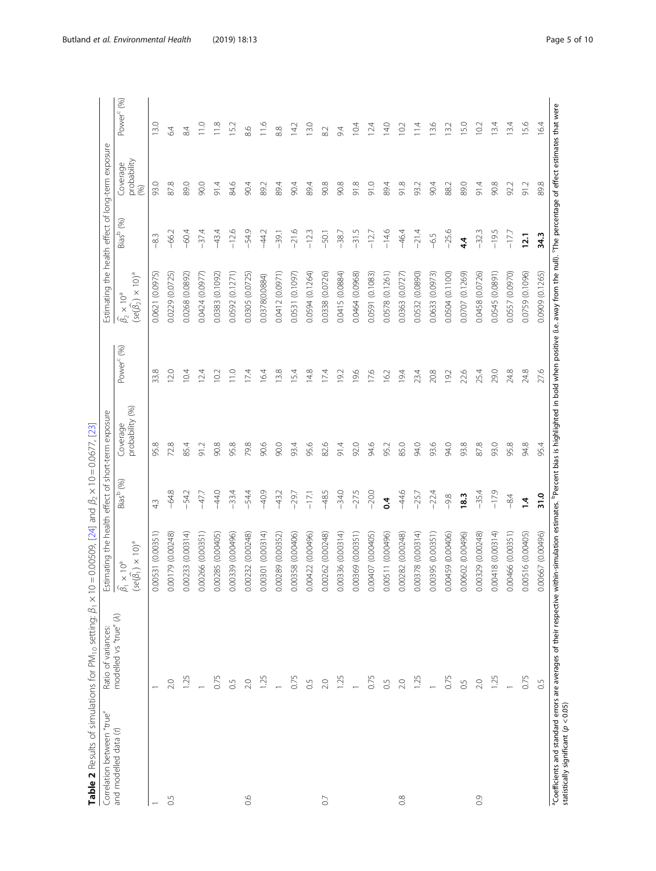| i.                            |
|-------------------------------|
|                               |
|                               |
| $\overline{\phantom{a}}$<br>I |
|                               |
| Į                             |
|                               |
| ١<br>l                        |
|                               |
| $\frac{1}{2}$                 |
|                               |
| l<br>١                        |
|                               |
| II                            |
|                               |
|                               |
|                               |
| i<br>).                       |
| Ì                             |
| ł<br>١                        |
|                               |
| l                             |
| $\overline{a}$                |
|                               |
|                               |
|                               |
|                               |
|                               |
|                               |
|                               |
| ı                             |
| I<br>t                        |
|                               |
| j<br>í                        |
|                               |

<span id="page-4-0"></span>

| Correlation between "true"                                                                                               | Ratio of variances:              | Estimating the health effect of short-term exposure                                   |                       |                             |                        | Estimating the health effect of long-term exposure                                                                                                                               |                       |                                |                        |
|--------------------------------------------------------------------------------------------------------------------------|----------------------------------|---------------------------------------------------------------------------------------|-----------------------|-----------------------------|------------------------|----------------------------------------------------------------------------------------------------------------------------------------------------------------------------------|-----------------------|--------------------------------|------------------------|
| and modelled data (t)                                                                                                    | modelled vs "true" ( $\lambda$ ) | $\text{Sec}(\widehat{\beta_1}) \times 10)^a$<br>$\widehat{\beta_1} \times 10^{\rm a}$ | Bias <sup>b</sup> (%) | probability (%)<br>Coverage | Power <sup>c</sup> (%) | $\left( \sec(\widehat{\beta_2}) \times 10 \right)^a$<br>$\widehat{\beta}_2 \times 10^{\rm a}$                                                                                    | Bias <sup>b</sup> (%) | probability<br>(%)<br>Coverage | Power <sup>c</sup> (%) |
|                                                                                                                          |                                  | 0.00531 (0.00351                                                                      | 43                    | 95.8                        | 33.8                   | 0.0621 (0.0975)                                                                                                                                                                  | $-8.3$                | 93.0                           | 13.0                   |
| 0.5                                                                                                                      | 2.0                              | 0.00179 (0.00248)                                                                     | $-64.8$               | 72.8                        | 12.0                   | 0.0229 (0.0725)                                                                                                                                                                  | $-66.2$               | 87.8                           | 64                     |
|                                                                                                                          | 1.25                             | 0.00233 (0.00314)                                                                     | $-54.2$               | 85.4                        | 10.4                   | 0.0268 (0.0892)                                                                                                                                                                  | $-60.4$               | 89.0                           | 84                     |
|                                                                                                                          |                                  | 0.00266 (0.00351)                                                                     | $-47.7$               | 91.2                        | 12.4                   | 0.0424 (0.0977)                                                                                                                                                                  | $-37.4$               | 90.0                           | 11.0                   |
|                                                                                                                          | 0.75                             | 0.00285 (0.00405)                                                                     | $-44.0$               | 90.8                        | 10.2                   | 0.0383 (0.1092)                                                                                                                                                                  | $-43.4$               | $-1.4$                         | 11.8                   |
|                                                                                                                          | 6.5                              | 0.00339 (0.00496)                                                                     | $-33.4$               | 95.8                        | 11.0                   | 0.0592 (0.1271)                                                                                                                                                                  | $-126$                | 84,6                           | 15.2                   |
| 66                                                                                                                       | 2.0                              | 0.00232 (0.00248)                                                                     | $-54.4$               | 79.8                        | 17.4                   | 0.0305 (0.0725)                                                                                                                                                                  | $-54.9$               | 90.4                           | 86                     |
|                                                                                                                          | 1.25                             | 0.00301 (0.00314)                                                                     | $-40.9$               | 90.6                        | 16.4                   | 0.0378(0.0884)                                                                                                                                                                   | $-44.2$               | 892                            | 11.6                   |
|                                                                                                                          |                                  | 0.00289 (0.00352)                                                                     | $-43.2$               | 90.0                        | 13.8                   | 0.0412 (0.0971)                                                                                                                                                                  | $-39.1$               | 89.4                           | 88                     |
|                                                                                                                          | 0.75                             | 0.00358 (0.00406)                                                                     | $-29.7$               | 93.4                        | 15.4                   | 0.0531 (0.1097)                                                                                                                                                                  | $-21.6$               | 90.4                           | 142                    |
|                                                                                                                          | 0.5                              | 0.00422 (0.00496)                                                                     | $-17.1$               | 95.6                        | 14.8                   | 0.0594 (0.1264)                                                                                                                                                                  | $-12.3$               | 89.4                           | 13.0                   |
| $\overline{0}$                                                                                                           | 2.0                              | 0.00262 (0.00248)                                                                     | $-48.5$               | 82.6                        | 17.4                   | 0.0338 (0.0726)                                                                                                                                                                  | $-50.1$               | 90.8                           | 8.2                    |
|                                                                                                                          | 1.25                             | 0.00336 (0.00314)                                                                     | $-34.0$               | 91.4                        | 19.2                   | 0.0415 (0.0884)                                                                                                                                                                  | $-38.7$               | 90.8                           | 64                     |
|                                                                                                                          |                                  | 0.00369 (0.00351)                                                                     | $-27.5$               | 92.0                        | 19.6                   | 0.0464 (0.0968)                                                                                                                                                                  | $-31.5$               | 91.8                           | 10.4                   |
|                                                                                                                          | 0.75                             | 0.00407 (0.00405)                                                                     | $-20.0$               | 94.6                        | 17.6                   | 0.0591 (0.1083)                                                                                                                                                                  | $-12.7$               | 91.0                           | 12.4                   |
|                                                                                                                          | 0.5                              | 0.00511 (0.00496)                                                                     | 3.                    | 95.2                        | 16.2                   | 0.0578 (0.1261)                                                                                                                                                                  | $-14.6$               | 89.4                           | 14.0                   |
| 0.8                                                                                                                      | 2.0                              | 0.00282 (0.00248)                                                                     | $-44.6$               | 85.0                        | 194                    | 0.0363 (0.0727)                                                                                                                                                                  | $-46.4$               | 91.8                           | 102                    |
|                                                                                                                          | 1.25                             | 0.00378 (0.00314)                                                                     | $-25.7$               | 94.0                        | 23.4                   | 0.0532 (0.0890)                                                                                                                                                                  | $-21.4$               | 93.2                           | $\overline{=}$         |
|                                                                                                                          |                                  | 0.00395 (0.00351)                                                                     | $-22.4$               | 93.6                        | 20.8                   | 0.0633 (0.0973)                                                                                                                                                                  | $-6.5$                | 90.4                           | 13.6                   |
|                                                                                                                          | 0.75                             | 0.00459 (0.00406)                                                                     | $-9.8$                | 94.0                        | 192                    | 0.0504 (0.1100)                                                                                                                                                                  | $-25.6$               | 88.2                           | 13.2                   |
|                                                                                                                          | $\overline{0}$                   | 0.00602 (0.00496)                                                                     | 18.3                  | 93.8                        | 22.6                   | 0.0707 (0.1269)                                                                                                                                                                  | 4.4                   | 89.0                           | 15.0                   |
| $\overline{0}$ .                                                                                                         | 2.0                              | 0.00329 (0.00248)                                                                     | $-35.4$               | 87.8                        | 25.4                   | 0.0458 (0.0726)                                                                                                                                                                  | $-32.3$               | 91.4                           | 10.2                   |
|                                                                                                                          | 1.25                             | 0.00418 (0.00314)                                                                     | $-17.9$               | 93.0                        | 29.0                   | 0.0545 (0.0891)                                                                                                                                                                  | $-19.5$               | 90.8                           | 13.4                   |
|                                                                                                                          |                                  | 0.00466 (0.00351)                                                                     | $-84$                 | 95.8                        | 24.8                   | 0.0557 (0.0970)                                                                                                                                                                  | $-177$                | 92.2                           | 13.4                   |
|                                                                                                                          | 0.75                             | 0.00516 (0.00405)                                                                     | $\ddot{ }$            | 94.8                        | 24.8                   | 0.0759 (0.1096)                                                                                                                                                                  | 12.1                  | 91.2                           | 15.6                   |
|                                                                                                                          | $\overline{0}$                   | 0.00667 (0.00496)                                                                     | 31.0                  | 95.4                        | 27.6                   | 0.0909 (0.1265)                                                                                                                                                                  | 34.3                  | 89.8                           | 16.4                   |
| <sup>a</sup> Coefficients and standard errors are averages of their respective<br>statistically significant $(p < 0.05)$ |                                  |                                                                                       |                       |                             |                        | within-simulation estimates. <sup>b</sup> Percent bias is highlighted in bold when positive (i.e. away from the null). <sup>o</sup> The percentage of effect estimates that were |                       |                                |                        |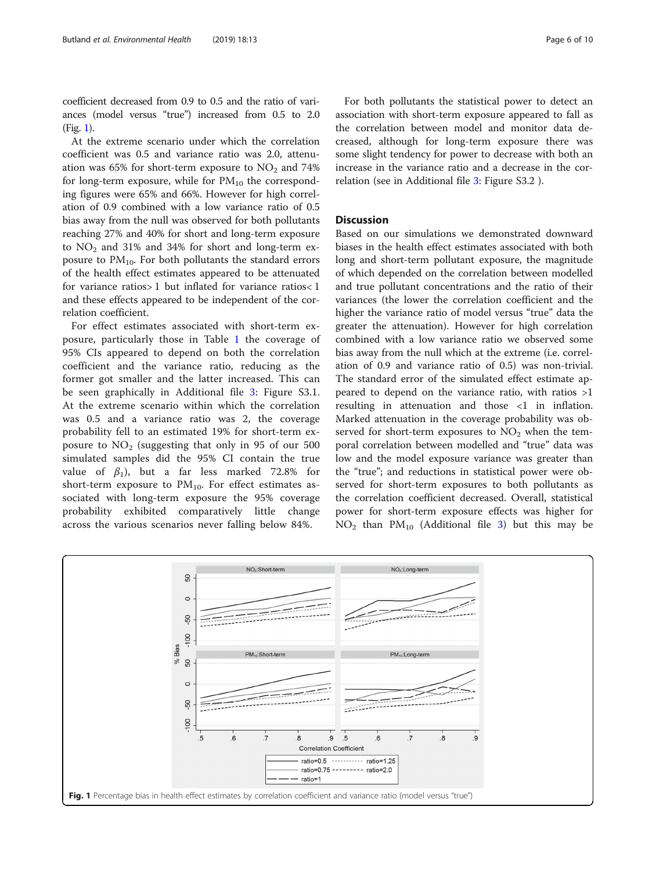<span id="page-5-0"></span>coefficient decreased from 0.9 to 0.5 and the ratio of variances (model versus "true") increased from 0.5 to 2.0 (Fig. 1).

At the extreme scenario under which the correlation coefficient was 0.5 and variance ratio was 2.0, attenuation was 65% for short-term exposure to  $NO<sub>2</sub>$  and 74% for long-term exposure, while for  $PM_{10}$  the corresponding figures were 65% and 66%. However for high correlation of 0.9 combined with a low variance ratio of 0.5 bias away from the null was observed for both pollutants reaching 27% and 40% for short and long-term exposure to  $NO<sub>2</sub>$  and 31% and 34% for short and long-term exposure to  $PM_{10}$ . For both pollutants the standard errors of the health effect estimates appeared to be attenuated for variance ratios> 1 but inflated for variance ratios< 1 and these effects appeared to be independent of the correlation coefficient.

For effect estimates associated with short-term exposure, particularly those in Table [1](#page-3-0) the coverage of 95% CIs appeared to depend on both the correlation coefficient and the variance ratio, reducing as the former got smaller and the latter increased. This can be seen graphically in Additional file [3:](#page-8-0) Figure S3.1. At the extreme scenario within which the correlation was 0.5 and a variance ratio was 2, the coverage probability fell to an estimated 19% for short-term exposure to  $NO<sub>2</sub>$  (suggesting that only in 95 of our 500 simulated samples did the 95% CI contain the true value of  $\beta_1$ ), but a far less marked 72.8% for short-term exposure to  $PM_{10}$ . For effect estimates associated with long-term exposure the 95% coverage probability exhibited comparatively little change across the various scenarios never falling below 84%.

For both pollutants the statistical power to detect an association with short-term exposure appeared to fall as the correlation between model and monitor data decreased, although for long-term exposure there was some slight tendency for power to decrease with both an increase in the variance ratio and a decrease in the correlation (see in Additional file [3:](#page-8-0) Figure S3.2 ).

# **Discussion**

Based on our simulations we demonstrated downward biases in the health effect estimates associated with both long and short-term pollutant exposure, the magnitude of which depended on the correlation between modelled and true pollutant concentrations and the ratio of their variances (the lower the correlation coefficient and the higher the variance ratio of model versus "true" data the greater the attenuation). However for high correlation combined with a low variance ratio we observed some bias away from the null which at the extreme (i.e. correlation of 0.9 and variance ratio of 0.5) was non-trivial. The standard error of the simulated effect estimate appeared to depend on the variance ratio, with ratios >1 resulting in attenuation and those <1 in inflation. Marked attenuation in the coverage probability was observed for short-term exposures to  $NO<sub>2</sub>$  when the temporal correlation between modelled and "true" data was low and the model exposure variance was greater than the "true"; and reductions in statistical power were observed for short-term exposures to both pollutants as the correlation coefficient decreased. Overall, statistical power for short-term exposure effects was higher for  $NO<sub>2</sub>$  than  $PM<sub>10</sub>$  (Additional file [3\)](#page-8-0) but this may be

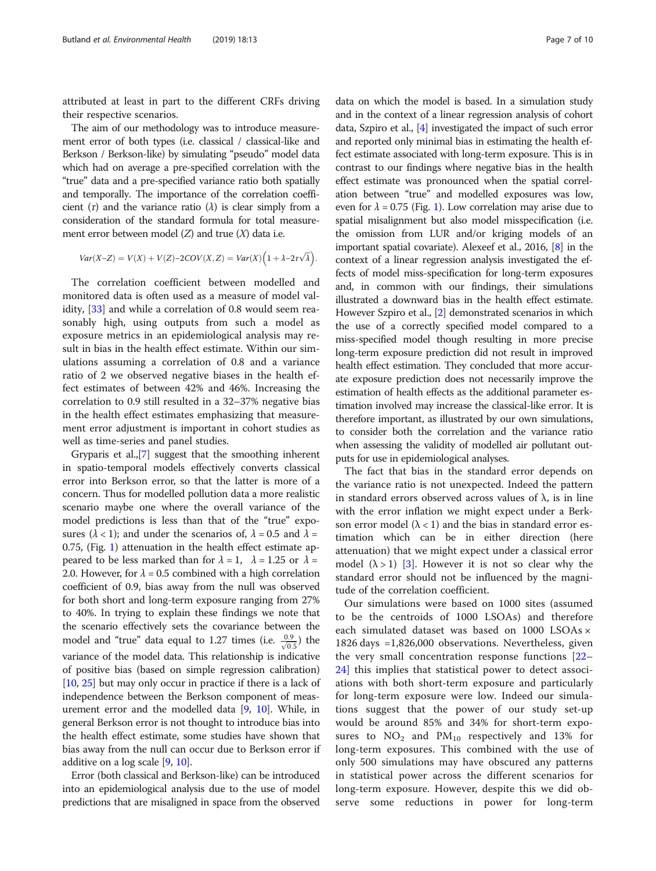attributed at least in part to the different CRFs driving their respective scenarios.

The aim of our methodology was to introduce measurement error of both types (i.e. classical / classical-like and Berkson / Berkson-like) by simulating "pseudo" model data which had on average a pre-specified correlation with the "true" data and a pre-specified variance ratio both spatially and temporally. The importance of the correlation coefficient (τ) and the variance ratio ( $\lambda$ ) is clear simply from a consideration of the standard formula for total measurement error between model  $(Z)$  and true  $(X)$  data i.e.

$$
Var(X-Z) = V(X) + V(Z) - 2COV(X,Z) = Var(X)\Big(1 + \lambda - 2\tau\sqrt{\lambda}\Big).
$$

The correlation coefficient between modelled and monitored data is often used as a measure of model validity, [[33\]](#page-9-0) and while a correlation of 0.8 would seem reasonably high, using outputs from such a model as exposure metrics in an epidemiological analysis may result in bias in the health effect estimate. Within our simulations assuming a correlation of 0.8 and a variance ratio of 2 we observed negative biases in the health effect estimates of between 42% and 46%. Increasing the correlation to 0.9 still resulted in a 32–37% negative bias in the health effect estimates emphasizing that measurement error adjustment is important in cohort studies as well as time-series and panel studies.

Gryparis et al.,[\[7](#page-8-0)] suggest that the smoothing inherent in spatio-temporal models effectively converts classical error into Berkson error, so that the latter is more of a concern. Thus for modelled pollution data a more realistic scenario maybe one where the overall variance of the model predictions is less than that of the "true" exposures ( $\lambda$  < 1); and under the scenarios of,  $\lambda$  = 0.5 and  $\lambda$  = 0.75, (Fig. [1](#page-5-0)) attenuation in the health effect estimate appeared to be less marked than for  $\lambda = 1$ ,  $\lambda = 1.25$  or  $\lambda =$ 2.0. However, for  $\lambda$  = 0.5 combined with a high correlation coefficient of 0.9, bias away from the null was observed for both short and long-term exposure ranging from 27% to 40%. In trying to explain these findings we note that the scenario effectively sets the covariance between the model and "true" data equal to 1.27 times (i.e.  $\frac{0.9}{\sqrt{0.5}}$ ) the variance of the model data. This relationship is indicative of positive bias (based on simple regression calibration) [[10](#page-8-0), [25\]](#page-9-0) but may only occur in practice if there is a lack of independence between the Berkson component of measurement error and the modelled data [\[9](#page-8-0), [10](#page-8-0)]. While, in general Berkson error is not thought to introduce bias into the health effect estimate, some studies have shown that bias away from the null can occur due to Berkson error if additive on a log scale [\[9,](#page-8-0) [10](#page-8-0)].

Error (both classical and Berkson-like) can be introduced into an epidemiological analysis due to the use of model predictions that are misaligned in space from the observed

data on which the model is based. In a simulation study and in the context of a linear regression analysis of cohort data, Szpiro et al., [\[4](#page-8-0)] investigated the impact of such error and reported only minimal bias in estimating the health effect estimate associated with long-term exposure. This is in contrast to our findings where negative bias in the health effect estimate was pronounced when the spatial correlation between "true" and modelled exposures was low, even for  $\lambda = 0.75$  (Fig. [1](#page-5-0)). Low correlation may arise due to spatial misalignment but also model misspecification (i.e. the omission from LUR and/or kriging models of an important spatial covariate). Alexeef et al., 2016, [[8\]](#page-8-0) in the context of a linear regression analysis investigated the effects of model miss-specification for long-term exposures and, in common with our findings, their simulations illustrated a downward bias in the health effect estimate. However Szpiro et al., [\[2](#page-8-0)] demonstrated scenarios in which the use of a correctly specified model compared to a miss-specified model though resulting in more precise long-term exposure prediction did not result in improved health effect estimation. They concluded that more accurate exposure prediction does not necessarily improve the estimation of health effects as the additional parameter estimation involved may increase the classical-like error. It is therefore important, as illustrated by our own simulations, to consider both the correlation and the variance ratio when assessing the validity of modelled air pollutant outputs for use in epidemiological analyses.

The fact that bias in the standard error depends on the variance ratio is not unexpected. Indeed the pattern in standard errors observed across values of  $\lambda$ , is in line with the error inflation we might expect under a Berkson error model  $(\lambda < 1)$  and the bias in standard error estimation which can be in either direction (here attenuation) that we might expect under a classical error model  $(\lambda > 1)$  [[3\]](#page-8-0). However it is not so clear why the standard error should not be influenced by the magnitude of the correlation coefficient.

Our simulations were based on 1000 sites (assumed to be the centroids of 1000 LSOAs) and therefore each simulated dataset was based on 1000 LSOAs × 1826 days =1,826,000 observations. Nevertheless, given the very small concentration response functions [[22](#page-9-0)– [24\]](#page-9-0) this implies that statistical power to detect associations with both short-term exposure and particularly for long-term exposure were low. Indeed our simulations suggest that the power of our study set-up would be around 85% and 34% for short-term exposures to  $NO<sub>2</sub>$  and  $PM<sub>10</sub>$  respectively and 13% for long-term exposures. This combined with the use of only 500 simulations may have obscured any patterns in statistical power across the different scenarios for long-term exposure. However, despite this we did observe some reductions in power for long-term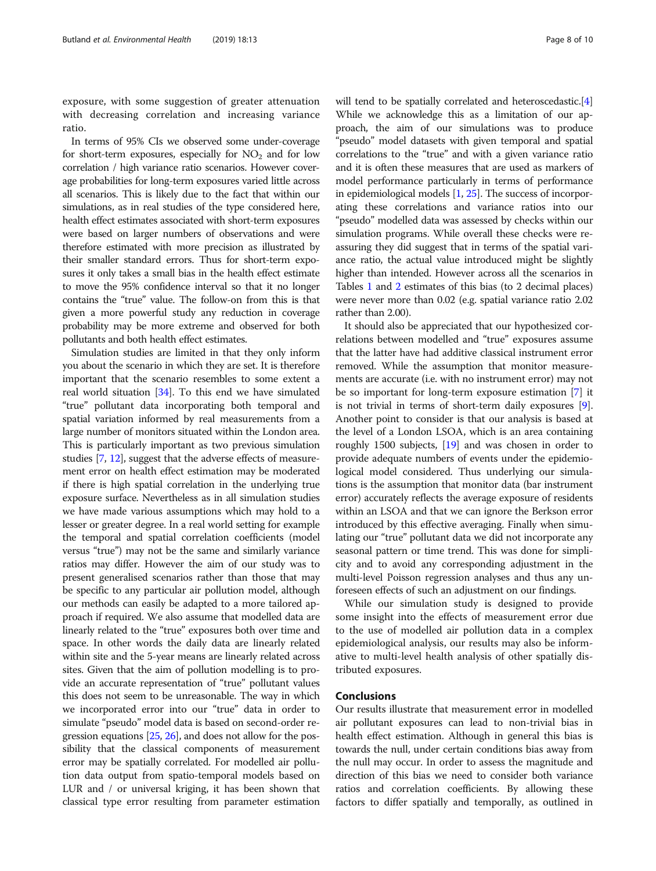exposure, with some suggestion of greater attenuation with decreasing correlation and increasing variance ratio.

In terms of 95% CIs we observed some under-coverage for short-term exposures, especially for  $NO<sub>2</sub>$  and for low correlation / high variance ratio scenarios. However coverage probabilities for long-term exposures varied little across all scenarios. This is likely due to the fact that within our simulations, as in real studies of the type considered here, health effect estimates associated with short-term exposures were based on larger numbers of observations and were therefore estimated with more precision as illustrated by their smaller standard errors. Thus for short-term exposures it only takes a small bias in the health effect estimate to move the 95% confidence interval so that it no longer contains the "true" value. The follow-on from this is that given a more powerful study any reduction in coverage probability may be more extreme and observed for both pollutants and both health effect estimates.

Simulation studies are limited in that they only inform you about the scenario in which they are set. It is therefore important that the scenario resembles to some extent a real world situation [[34](#page-9-0)]. To this end we have simulated "true" pollutant data incorporating both temporal and spatial variation informed by real measurements from a large number of monitors situated within the London area. This is particularly important as two previous simulation studies [\[7,](#page-8-0) [12](#page-8-0)], suggest that the adverse effects of measurement error on health effect estimation may be moderated if there is high spatial correlation in the underlying true exposure surface. Nevertheless as in all simulation studies we have made various assumptions which may hold to a lesser or greater degree. In a real world setting for example the temporal and spatial correlation coefficients (model versus "true") may not be the same and similarly variance ratios may differ. However the aim of our study was to present generalised scenarios rather than those that may be specific to any particular air pollution model, although our methods can easily be adapted to a more tailored approach if required. We also assume that modelled data are linearly related to the "true" exposures both over time and space. In other words the daily data are linearly related within site and the 5-year means are linearly related across sites. Given that the aim of pollution modelling is to provide an accurate representation of "true" pollutant values this does not seem to be unreasonable. The way in which we incorporated error into our "true" data in order to simulate "pseudo" model data is based on second-order regression equations [[25](#page-9-0), [26](#page-9-0)], and does not allow for the possibility that the classical components of measurement error may be spatially correlated. For modelled air pollution data output from spatio-temporal models based on LUR and / or universal kriging, it has been shown that classical type error resulting from parameter estimation will tend to be spatially correlated and heteroscedastic.<sup>[[4](#page-8-0)]</sup> While we acknowledge this as a limitation of our approach, the aim of our simulations was to produce "pseudo" model datasets with given temporal and spatial correlations to the "true" and with a given variance ratio and it is often these measures that are used as markers of model performance particularly in terms of performance in epidemiological models [\[1,](#page-8-0) [25](#page-9-0)]. The success of incorporating these correlations and variance ratios into our "pseudo" modelled data was assessed by checks within our simulation programs. While overall these checks were reassuring they did suggest that in terms of the spatial variance ratio, the actual value introduced might be slightly higher than intended. However across all the scenarios in Tables [1](#page-3-0) and [2](#page-4-0) estimates of this bias (to 2 decimal places) were never more than 0.02 (e.g. spatial variance ratio 2.02 rather than 2.00).

It should also be appreciated that our hypothesized correlations between modelled and "true" exposures assume that the latter have had additive classical instrument error removed. While the assumption that monitor measurements are accurate (i.e. with no instrument error) may not be so important for long-term exposure estimation [\[7](#page-8-0)] it is not trivial in terms of short-term daily exposures [[9](#page-8-0)]. Another point to consider is that our analysis is based at the level of a London LSOA, which is an area containing roughly 1500 subjects, [[19](#page-8-0)] and was chosen in order to provide adequate numbers of events under the epidemiological model considered. Thus underlying our simulations is the assumption that monitor data (bar instrument error) accurately reflects the average exposure of residents within an LSOA and that we can ignore the Berkson error introduced by this effective averaging. Finally when simulating our "true" pollutant data we did not incorporate any seasonal pattern or time trend. This was done for simplicity and to avoid any corresponding adjustment in the multi-level Poisson regression analyses and thus any unforeseen effects of such an adjustment on our findings.

While our simulation study is designed to provide some insight into the effects of measurement error due to the use of modelled air pollution data in a complex epidemiological analysis, our results may also be informative to multi-level health analysis of other spatially distributed exposures.

# Conclusions

Our results illustrate that measurement error in modelled air pollutant exposures can lead to non-trivial bias in health effect estimation. Although in general this bias is towards the null, under certain conditions bias away from the null may occur. In order to assess the magnitude and direction of this bias we need to consider both variance ratios and correlation coefficients. By allowing these factors to differ spatially and temporally, as outlined in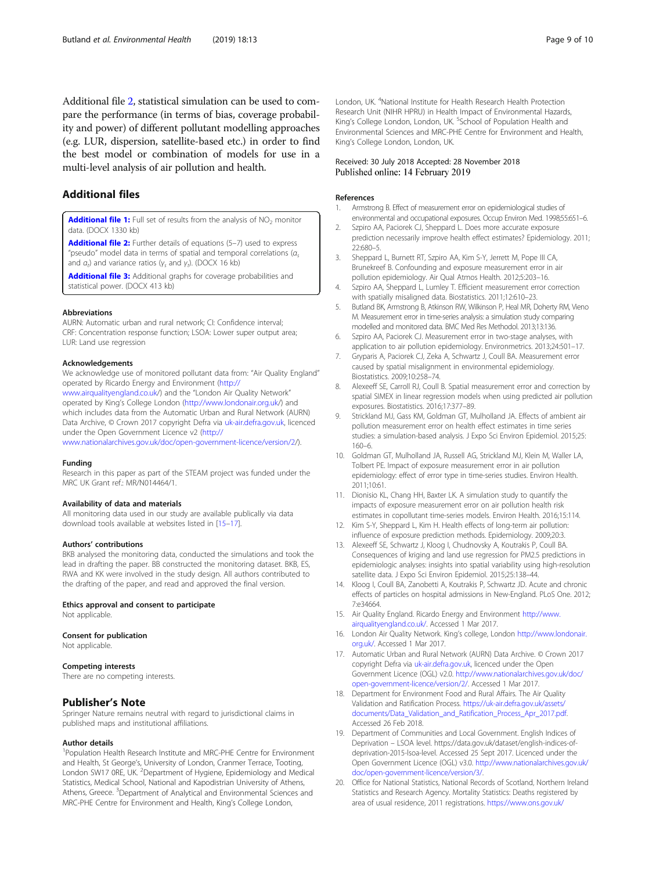<span id="page-8-0"></span>Additional file 2, statistical simulation can be used to compare the performance (in terms of bias, coverage probability and power) of different pollutant modelling approaches (e.g. LUR, dispersion, satellite-based etc.) in order to find the best model or combination of models for use in a multi-level analysis of air pollution and health.

# Additional files

**[Additional file 1:](https://doi.org/10.1186/s12940-018-0432-8)** Full set of results from the analysis of  $NO<sub>2</sub>$  monitor data. (DOCX 1330 kb)

[Additional file 2:](https://doi.org/10.1186/s12940-018-0432-8) Further details of equations (5-7) used to express "pseudo" model data in terms of spatial and temporal correlations ( $a<sub>s</sub>$ and  $a_t$ ) and variance ratios ( $\gamma_s$  and  $\gamma_t$ ). (DOCX 16 kb)

[Additional file 3:](https://doi.org/10.1186/s12940-018-0432-8) Additional graphs for coverage probabilities and statistical power. (DOCX 413 kb)

# Abbreviations

AURN: Automatic urban and rural network; CI: Confidence interval; CRF: Concentration response function; LSOA: Lower super output area; LUR: Land use regression

# Acknowledgements

We acknowledge use of monitored pollutant data from: "Air Quality England" operated by Ricardo Energy and Environment [\(http://](http://www.airqualityengland.co.uk)

[www.airqualityengland.co.uk/](http://www.airqualityengland.co.uk)) and the "London Air Quality Network" operated by King's College London ([http://www.londonair.org.uk/](http://www.londonair.org.uk)) and which includes data from the Automatic Urban and Rural Network (AURN) Data Archive, © Crown 2017 copyright Defra via [uk-air.defra.gov.uk](http://uk-air.defra.gov.uk), licenced under the Open Government Licence v2 ([http://](http://www.nationalarchives.gov.uk/doc/open-government-licence/version/2)

[www.nationalarchives.gov.uk/doc/open-government-licence/version/2/](http://www.nationalarchives.gov.uk/doc/open-government-licence/version/2)).

#### Funding

Research in this paper as part of the STEAM project was funded under the MRC UK Grant ref.: MR/N014464/1.

# Availability of data and materials

All monitoring data used in our study are available publically via data download tools available at websites listed in [15–17].

# Authors' contributions

BKB analysed the monitoring data, conducted the simulations and took the lead in drafting the paper. BB constructed the monitoring dataset. BKB, ES, RWA and KK were involved in the study design. All authors contributed to the drafting of the paper, and read and approved the final version.

# Ethics approval and consent to participate

Not applicable.

# Consent for publication

Not applicable.

# Competing interests

There are no competing interests.

# Publisher's Note

Springer Nature remains neutral with regard to jurisdictional claims in published maps and institutional affiliations.

# Author details

<sup>1</sup> Population Health Research Institute and MRC-PHE Centre for Environment and Health, St George's, University of London, Cranmer Terrace, Tooting, London SW17 0RE, UK. <sup>2</sup>Department of Hygiene, Epidemiology and Medical Statistics, Medical School, National and Kapodistrian University of Athens, Athens, Greece. <sup>3</sup>Department of Analytical and Environmental Sciences and MRC-PHE Centre for Environment and Health, King's College London,

London, UK. <sup>4</sup>National Institute for Health Research Health Protection Research Unit (NIHR HPRU) in Health Impact of Environmental Hazards, King's College London, London, UK. <sup>5</sup>School of Population Health and Environmental Sciences and MRC-PHE Centre for Environment and Health, King's College London, London, UK.

# Received: 30 July 2018 Accepted: 28 November 2018 Published online: 14 February 2019

# References

- 1. Armstrong B. Effect of measurement error on epidemiological studies of environmental and occupational exposures. Occup Environ Med. 1998;55:651–6.
- 2. Szpiro AA, Paciorek CJ, Sheppard L. Does more accurate exposure prediction necessarily improve health effect estimates? Epidemiology. 2011; 22:680–5.
- 3. Sheppard L, Burnett RT, Szpiro AA, Kim S-Y, Jerrett M, Pope III CA, Brunekreef B. Confounding and exposure measurement error in air pollution epidemiology. Air Qual Atmos Health. 2012;5:203–16.
- 4. Szpiro AA, Sheppard L, Lumley T. Efficient measurement error correction with spatially misaligned data. Biostatistics. 2011;12:610–23.
- 5. Butland BK, Armstrong B, Atkinson RW, Wilkinson P, Heal MR, Doherty RM, Vieno M. Measurement error in time-series analysis: a simulation study comparing modelled and monitored data. BMC Med Res Methodol. 2013;13:136.
- 6. Szpiro AA, Paciorek CJ. Measurement error in two-stage analyses, with application to air pollution epidemiology. Environmetrics. 2013;24:501–17.
- 7. Gryparis A, Paciorek CJ, Zeka A, Schwartz J, Coull BA. Measurement error caused by spatial misalignment in environmental epidemiology. Biostatistics. 2009;10:258–74.
- 8. Alexeeff SE, Carroll RJ, Coull B. Spatial measurement error and correction by spatial SIMEX in linear regression models when using predicted air pollution exposures. Biostatistics. 2016;17:377–89.
- 9. Strickland MJ, Gass KM, Goldman GT, Mulholland JA. Effects of ambient air pollution measurement error on health effect estimates in time series studies: a simulation-based analysis. J Expo Sci Environ Epidemiol. 2015;25: 160–6.
- 10. Goldman GT, Mulholland JA, Russell AG, Strickland MJ, Klein M, Waller LA, Tolbert PE. Impact of exposure measurement error in air pollution epidemiology: effect of error type in time-series studies. Environ Health. 2011;10:61.
- 11. Dionisio KL, Chang HH, Baxter LK. A simulation study to quantify the impacts of exposure measurement error on air pollution health risk estimates in copollutant time-series models. Environ Health. 2016;15:114.
- 12. Kim S-Y, Sheppard L, Kim H. Health effects of long-term air pollution: influence of exposure prediction methods. Epidemiology. 2009;20:3.
- 13. Alexeeff SE, Schwartz J, Kloog I, Chudnovsky A, Koutrakis P, Coull BA. Consequences of kriging and land use regression for PM2.5 predictions in epidemiologic analyses: insights into spatial variability using high-resolution satellite data. J Expo Sci Environ Epidemiol. 2015;25:138–44.
- 14. Kloog I, Coull BA, Zanobetti A, Koutrakis P, Schwartz JD. Acute and chronic effects of particles on hospital admissions in New-England. PLoS One. 2012; 7:e34664.
- 15. Air Quality England. Ricardo Energy and Environment [http://www.](http://www.airqualityengland.co.uk/) [airqualityengland.co.uk/](http://www.airqualityengland.co.uk/). Accessed 1 Mar 2017.
- 16. London Air Quality Network. King's college, London [http://www.londonair.](http://www.londonair.org.uk/) [org.uk/.](http://www.londonair.org.uk/) Accessed 1 Mar 2017.
- 17. Automatic Urban and Rural Network (AURN) Data Archive. © Crown 2017 copyright Defra via [uk-air.defra.gov.uk](http://uk-air.defra.gov.uk), licenced under the Open Government Licence (OGL) v2.0. [http://www.nationalarchives.gov.uk/doc/](http://www.nationalarchives.gov.uk/doc/open-government-licence/version/2/) [open-government-licence/version/2/.](http://www.nationalarchives.gov.uk/doc/open-government-licence/version/2/) Accessed 1 Mar 2017.
- 18. Department for Environment Food and Rural Affairs. The Air Quality Validation and Ratification Process. [https://uk-air.defra.gov.uk/assets/](https://uk-air.defra.gov.uk/assets/documents/Data_Validation_and_Ratification_Process_Apr_2017.pdf) [documents/Data\\_Validation\\_and\\_Ratification\\_Process\\_Apr\\_2017.pdf.](https://uk-air.defra.gov.uk/assets/documents/Data_Validation_and_Ratification_Process_Apr_2017.pdf) Accessed 26 Feb 2018.
- 19. Department of Communities and Local Government. English Indices of Deprivation – LSOA level. https://data.gov.uk/dataset/english-indices-ofdeprivation-2015-lsoa-level. Accessed 25 Sept 2017. Licenced under the Open Government Licence (OGL) v3.0. [http://www.nationalarchives.gov.uk/](http://www.nationalarchives.gov.uk/doc/open-government-licence/version/3/) [doc/open-government-licence/version/3/](http://www.nationalarchives.gov.uk/doc/open-government-licence/version/3/).
- 20. Office for National Statistics, National Records of Scotland, Northern Ireland Statistics and Research Agency. Mortality Statistics: Deaths registered by area of usual residence, 2011 registrations. [https://www.ons.gov.uk/](https://www.ons.gov.uk/peoplepopulationandcommunity/birthsdeathsandmarriages/deaths/datasets/deathsregisteredbyareaofusualresidenceenglandandwales)